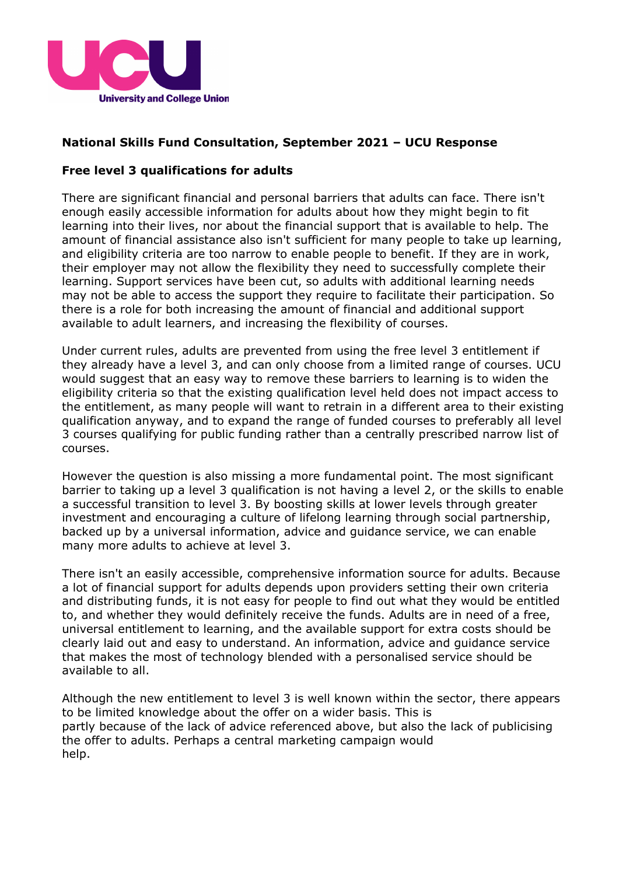

## **National Skills Fund Consultation, September 2021 – UCU Response**

## **Free level 3 qualifications for adults**

There are significant financial and personal barriers that adults can face. There isn't enough easily accessible information for adults about how they might begin to fit learning into their lives, nor about the financial support that is available to help. The amount of financial assistance also isn't sufficient for many people to take up learning, and eligibility criteria are too narrow to enable people to benefit. If they are in work, their employer may not allow the flexibility they need to successfully complete their learning. Support services have been cut, so adults with additional learning needs may not be able to access the support they require to facilitate their participation. So there is a role for both increasing the amount of financial and additional support available to adult learners, and increasing the flexibility of courses.

Under current rules, adults are prevented from using the free level 3 entitlement if they already have a level 3, and can only choose from a limited range of courses. UCU would suggest that an easy way to remove these barriers to learning is to widen the eligibility criteria so that the existing qualification level held does not impact access to the entitlement, as many people will want to retrain in a different area to their existing qualification anyway, and to expand the range of funded courses to preferably all level 3 courses qualifying for public funding rather than a centrally prescribed narrow list of courses.

However the question is also missing a more fundamental point. The most significant barrier to taking up a level 3 qualification is not having a level 2, or the skills to enable a successful transition to level 3. By boosting skills at lower levels through greater investment and encouraging a culture of lifelong learning through social partnership, backed up by a universal information, advice and guidance service, we can enable many more adults to achieve at level 3.

There isn't an easily accessible, comprehensive information source for adults. Because a lot of financial support for adults depends upon providers setting their own criteria and distributing funds, it is not easy for people to find out what they would be entitled to, and whether they would definitely receive the funds. Adults are in need of a free, universal entitlement to learning, and the available support for extra costs should be clearly laid out and easy to understand. An information, advice and guidance service that makes the most of technology blended with a personalised service should be available to all.

Although the new entitlement to level 3 is well known within the sector, there appears to be limited knowledge about the offer on a wider basis. This is partly because of the lack of advice referenced above, but also the lack of publicising the offer to adults. Perhaps a central marketing campaign would help.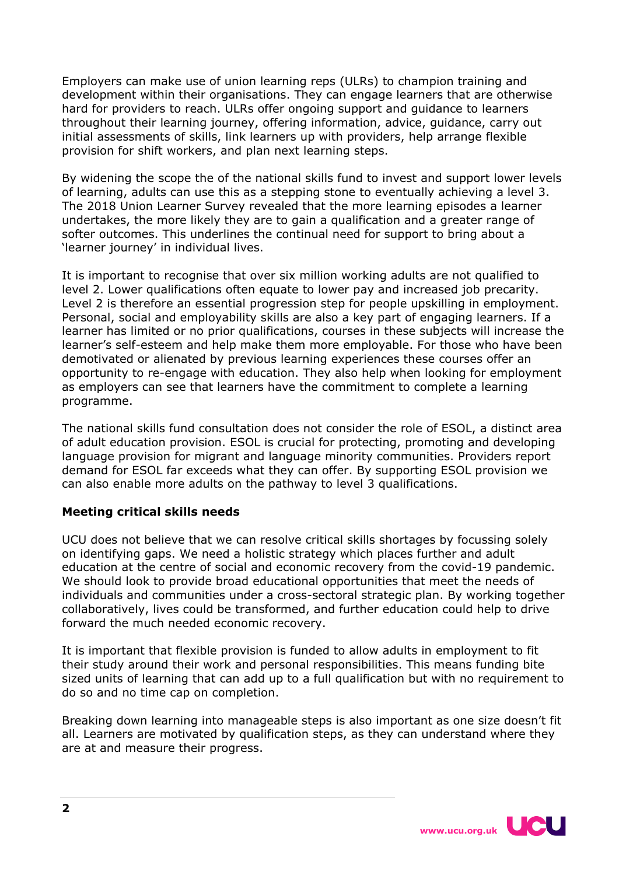Employers can make use of union learning reps (ULRs) to champion training and development within their organisations. They can engage learners that are otherwise hard for providers to reach. ULRs offer ongoing support and guidance to learners throughout their learning journey, offering information, advice, guidance, carry out initial assessments of skills, link learners up with providers, help arrange flexible provision for shift workers, and plan next learning steps.

By widening the scope the of the national skills fund to invest and support lower levels of learning, adults can use this as a stepping stone to eventually achieving a level 3. The 2018 Union Learner Survey revealed that the more learning episodes a learner undertakes, the more likely they are to gain a qualification and a greater range of softer outcomes. This underlines the continual need for support to bring about a 'learner journey' in individual lives.

It is important to recognise that over six million working adults are not qualified to level 2. Lower qualifications often equate to lower pay and increased job precarity. Level 2 is therefore an essential progression step for people upskilling in employment. Personal, social and employability skills are also a key part of engaging learners. If a learner has limited or no prior qualifications, courses in these subjects will increase the learner's self-esteem and help make them more employable. For those who have been demotivated or alienated by previous learning experiences these courses offer an opportunity to re-engage with education. They also help when looking for employment as employers can see that learners have the commitment to complete a learning programme.

The national skills fund consultation does not consider the role of ESOL, a distinct area of adult education provision. ESOL is crucial for protecting, promoting and developing language provision for migrant and language minority communities. Providers report demand for ESOL far exceeds what they can offer. By supporting ESOL provision we can also enable more adults on the pathway to level 3 qualifications.

## **Meeting critical skills needs**

UCU does not believe that we can resolve critical skills shortages by focussing solely on identifying gaps. We need a holistic strategy which places further and adult education at the centre of social and economic recovery from the covid-19 pandemic. We should look to provide broad educational opportunities that meet the needs of individuals and communities under a cross-sectoral strategic plan. By working together collaboratively, lives could be transformed, and further education could help to drive forward the much needed economic recovery.

It is important that flexible provision is funded to allow adults in employment to fit their study around their work and personal responsibilities. This means funding bite sized units of learning that can add up to a full qualification but with no requirement to do so and no time cap on completion.

Breaking down learning into manageable steps is also important as one size doesn't fit all. Learners are motivated by qualification steps, as they can understand where they are at and measure their progress.